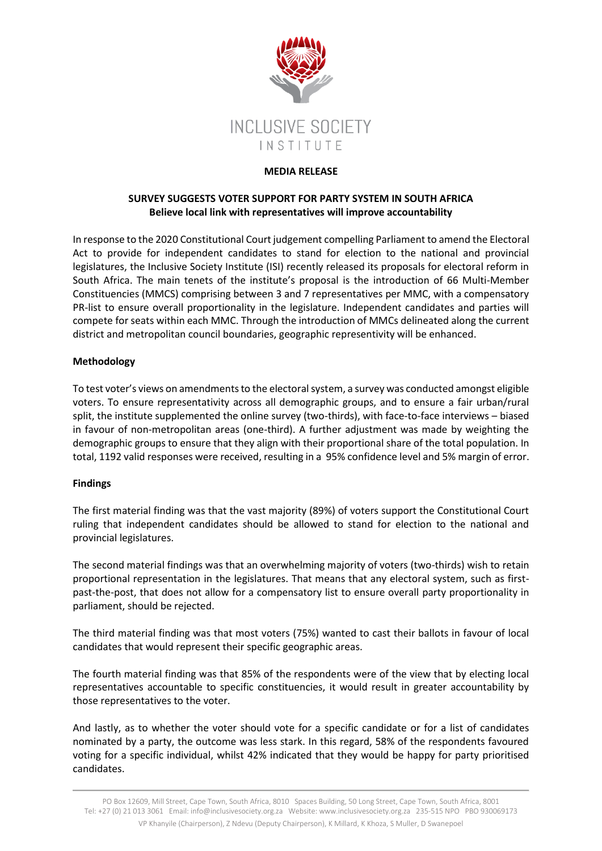

### **MEDIA RELEASE**

# **SURVEY SUGGESTS VOTER SUPPORT FOR PARTY SYSTEM IN SOUTH AFRICA Believe local link with representatives will improve accountability**

In response to the 2020 Constitutional Court judgement compelling Parliament to amend the Electoral Act to provide for independent candidates to stand for election to the national and provincial legislatures, the Inclusive Society Institute (ISI) recently released its proposals for electoral reform in South Africa. The main tenets of the institute's proposal is the introduction of 66 Multi-Member Constituencies (MMCS) comprising between 3 and 7 representatives per MMC, with a compensatory PR-list to ensure overall proportionality in the legislature. Independent candidates and parties will compete for seats within each MMC. Through the introduction of MMCs delineated along the current district and metropolitan council boundaries, geographic representivity will be enhanced.

# **Methodology**

To test voter's views on amendments to the electoral system, a survey was conducted amongst eligible voters. To ensure representativity across all demographic groups, and to ensure a fair urban/rural split, the institute supplemented the online survey (two-thirds), with face-to-face interviews – biased in favour of non-metropolitan areas (one-third). A further adjustment was made by weighting the demographic groups to ensure that they align with their proportional share of the total population. In total, 1192 valid responses were received, resulting in a 95% confidence level and 5% margin of error.

### **Findings**

The first material finding was that the vast majority (89%) of voters support the Constitutional Court ruling that independent candidates should be allowed to stand for election to the national and provincial legislatures.

The second material findings was that an overwhelming majority of voters (two-thirds) wish to retain proportional representation in the legislatures. That means that any electoral system, such as firstpast-the-post, that does not allow for a compensatory list to ensure overall party proportionality in parliament, should be rejected.

The third material finding was that most voters (75%) wanted to cast their ballots in favour of local candidates that would represent their specific geographic areas.

The fourth material finding was that 85% of the respondents were of the view that by electing local representatives accountable to specific constituencies, it would result in greater accountability by those representatives to the voter.

And lastly, as to whether the voter should vote for a specific candidate or for a list of candidates nominated by a party, the outcome was less stark. In this regard, 58% of the respondents favoured voting for a specific individual, whilst 42% indicated that they would be happy for party prioritised candidates.